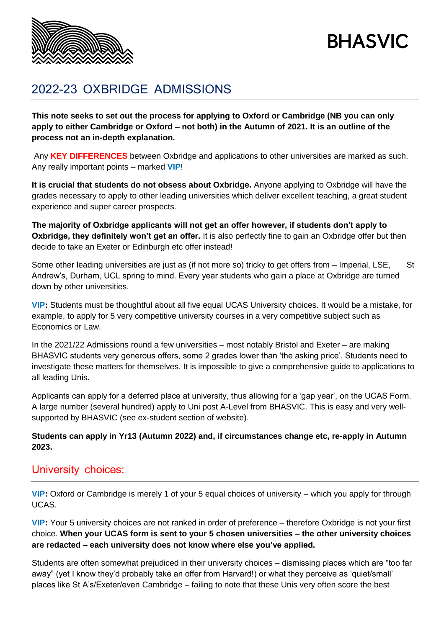

# **BHASVIC**

# 2022-23 OXBRIDGE ADMISSIONS

**This note seeks to set out the process for applying to Oxford or Cambridge (NB you can only apply to either Cambridge or Oxford – not both) in the Autumn of 2021. It is an outline of the process not an in-depth explanation.**

Any **KEY DIFFERENCES** between Oxbridge and applications to other universities are marked as such. Any really important points – marked **VIP**!

**It is crucial that students do not obsess about Oxbridge.** Anyone applying to Oxbridge will have the grades necessary to apply to other leading universities which deliver excellent teaching, a great student experience and super career prospects.

**The majority of Oxbridge applicants will not get an offer however, if students don't apply to Oxbridge, they definitely won't get an offer.** It is also perfectly fine to gain an Oxbridge offer but then decide to take an Exeter or Edinburgh etc offer instead!

Some other leading universities are just as (if not more so) tricky to get offers from – Imperial, LSE, St Andrew's, Durham, UCL spring to mind. Every year students who gain a place at Oxbridge are turned down by other universities.

**VIP:** Students must be thoughtful about all five equal UCAS University choices. It would be a mistake, for example, to apply for 5 very competitive university courses in a very competitive subject such as Economics or Law.

In the 2021/22 Admissions round a few universities – most notably Bristol and Exeter – are making BHASVIC students very generous offers, some 2 grades lower than 'the asking price'. Students need to investigate these matters for themselves. It is impossible to give a comprehensive guide to applications to all leading Unis.

Applicants can apply for a deferred place at university, thus allowing for a 'gap year', on the UCAS Form. A large number (several hundred) apply to Uni post A-Level from BHASVIC. This is easy and very wellsupported by BHASVIC (see ex-student section of website).

#### **Students can apply in Yr13 (Autumn 2022) and, if circumstances change etc, re-apply in Autumn 2023.**

#### University choices:

**VIP:** Oxford or Cambridge is merely 1 of your 5 equal choices of university – which you apply for through UCAS.

**VIP:** Your 5 university choices are not ranked in order of preference – therefore Oxbridge is not your first choice. **When your UCAS form is sent to your 5 chosen universities – the other university choices are redacted – each university does not know where else you've applied.**

Students are often somewhat prejudiced in their university choices – dismissing places which are "too far away" (yet I know they'd probably take an offer from Harvard!) or what they perceive as 'quiet/small' places like St A's/Exeter/even Cambridge – failing to note that these Unis very often score the best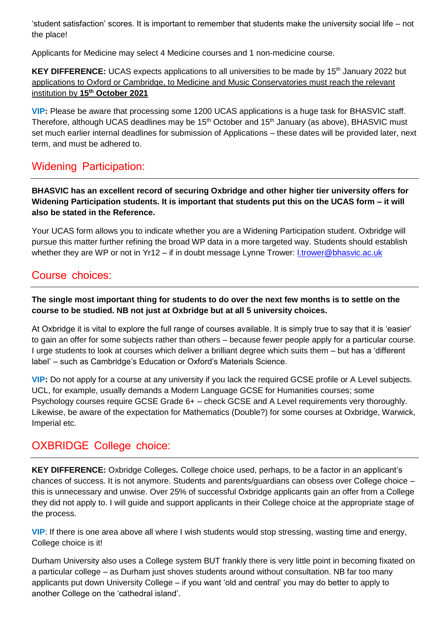'student satisfaction' scores. It is important to remember that students make the university social life – not the place!

Applicants for Medicine may select 4 Medicine courses and 1 non-medicine course.

#### **KEY DIFFERENCE:** UCAS expects applications to all universities to be made by 15<sup>th</sup> January 2022 but applications to Oxford or Cambridge, to Medicine and Music Conservatories must reach the relevant institution by **15th October 2021**

**VIP:** Please be aware that processing some 1200 UCAS applications is a huge task for BHASVIC staff. Therefore, although UCAS deadlines may be 15<sup>th</sup> October and 15<sup>th</sup> January (as above), BHASVIC must set much earlier internal deadlines for submission of Applications – these dates will be provided later, next term, and must be adhered to.

# Widening Participation:

**BHASVIC has an excellent record of securing Oxbridge and other higher tier university offers for Widening Participation students. It is important that students put this on the UCAS form – it will also be stated in the Reference.**

Your UCAS form allows you to indicate whether you are a Widening Participation student. Oxbridge will pursue this matter further refining the broad WP data in a more targeted way. Students should establish whether they are WP or not in Yr12 – if in doubt message Lynne Trower: *l.trower@bhasvic.ac.uk* 

#### Course choices:

#### **The single most important thing for students to do over the next few months is to settle on the course to be studied. NB not just at Oxbridge but at all 5 university choices.**

At Oxbridge it is vital to explore the full range of courses available. It is simply true to say that it is 'easier' to gain an offer for some subjects rather than others – because fewer people apply for a particular course. I urge students to look at courses which deliver a brilliant degree which suits them – but has a 'different label' – such as Cambridge's Education or Oxford's Materials Science.

**VIP:** Do not apply for a course at any university if you lack the required GCSE profile or A Level subjects. UCL, for example, usually demands a Modern Language GCSE for Humanities courses; some Psychology courses require GCSE Grade 6+ – check GCSE and A Level requirements very thoroughly. Likewise, be aware of the expectation for Mathematics (Double?) for some courses at Oxbridge, Warwick, Imperial etc.

# OXBRIDGE College choice:

**KEY DIFFERENCE:** Oxbridge Colleges**.** College choice used, perhaps, to be a factor in an applicant's chances of success. It is not anymore. Students and parents/guardians can obsess over College choice – this is unnecessary and unwise. Over 25% of successful Oxbridge applicants gain an offer from a College they did not apply to. I will guide and support applicants in their College choice at the appropriate stage of the process.

**VIP**: If there is one area above all where I wish students would stop stressing, wasting time and energy, College choice is it!

Durham University also uses a College system BUT frankly there is very little point in becoming fixated on a particular college – as Durham just shoves students around without consultation. NB far too many applicants put down University College – if you want 'old and central' you may do better to apply to another College on the 'cathedral island'.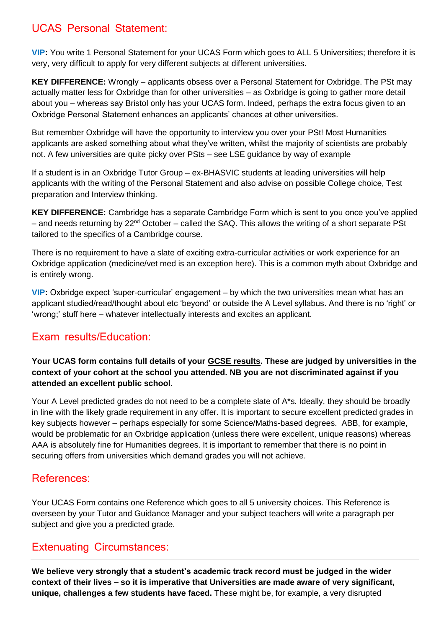# UCAS Personal Statement:

**VIP:** You write 1 Personal Statement for your UCAS Form which goes to ALL 5 Universities; therefore it is very, very difficult to apply for very different subjects at different universities.

**KEY DIFFERENCE:** Wrongly – applicants obsess over a Personal Statement for Oxbridge. The PSt may actually matter less for Oxbridge than for other universities – as Oxbridge is going to gather more detail about you – whereas say Bristol only has your UCAS form. Indeed, perhaps the extra focus given to an Oxbridge Personal Statement enhances an applicants' chances at other universities.

But remember Oxbridge will have the opportunity to interview you over your PSt! Most Humanities applicants are asked something about what they've written, whilst the majority of scientists are probably not. A few universities are quite picky over PSts – see LSE guidance by way of example

If a student is in an Oxbridge Tutor Group – ex-BHASVIC students at leading universities will help applicants with the writing of the Personal Statement and also advise on possible College choice, Test preparation and Interview thinking.

**KEY DIFFERENCE:** Cambridge has a separate Cambridge Form which is sent to you once you've applied  $-$  and needs returning by 22<sup>nd</sup> October – called the SAQ. This allows the writing of a short separate PSt tailored to the specifics of a Cambridge course.

There is no requirement to have a slate of exciting extra-curricular activities or work experience for an Oxbridge application (medicine/vet med is an exception here). This is a common myth about Oxbridge and is entirely wrong.

**VIP:** Oxbridge expect 'super-curricular' engagement – by which the two universities mean what has an applicant studied/read/thought about etc 'beyond' or outside the A Level syllabus. And there is no 'right' or 'wrong;' stuff here – whatever intellectually interests and excites an applicant.

#### Exam results/Education:

**Your UCAS form contains full details of your GCSE results. These are judged by universities in the context of your cohort at the school you attended. NB you are not discriminated against if you attended an excellent public school.**

Your A Level predicted grades do not need to be a complete slate of A\*s. Ideally, they should be broadly in line with the likely grade requirement in any offer. It is important to secure excellent predicted grades in key subjects however – perhaps especially for some Science/Maths-based degrees. ABB, for example, would be problematic for an Oxbridge application (unless there were excellent, unique reasons) whereas AAA is absolutely fine for Humanities degrees. It is important to remember that there is no point in securing offers from universities which demand grades you will not achieve.

#### References:

Your UCAS Form contains one Reference which goes to all 5 university choices. This Reference is overseen by your Tutor and Guidance Manager and your subject teachers will write a paragraph per subject and give you a predicted grade.

#### Extenuating Circumstances:

**We believe very strongly that a student's academic track record must be judged in the wider context of their lives – so it is imperative that Universities are made aware of very significant, unique, challenges a few students have faced.** These might be, for example, a very disrupted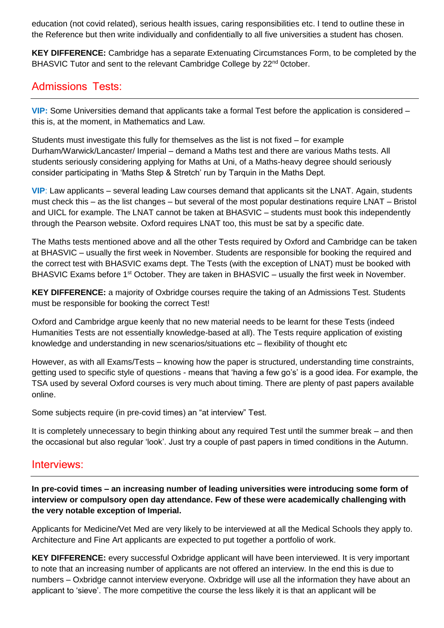education (not covid related), serious health issues, caring responsibilities etc. I tend to outline these in the Reference but then write individually and confidentially to all five universities a student has chosen.

**KEY DIFFERENCE:** Cambridge has a separate Extenuating Circumstances Form, to be completed by the BHASVIC Tutor and sent to the relevant Cambridge College by 22<sup>nd</sup> 0ctober.

#### Admissions Tests:

**VIP:** Some Universities demand that applicants take a formal Test before the application is considered – this is, at the moment, in Mathematics and Law.

Students must investigate this fully for themselves as the list is not fixed – for example Durham/Warwick/Lancaster/ Imperial – demand a Maths test and there are various Maths tests. All students seriously considering applying for Maths at Uni, of a Maths-heavy degree should seriously consider participating in 'Maths Step & Stretch' run by Tarquin in the Maths Dept.

**VIP**: Law applicants – several leading Law courses demand that applicants sit the LNAT. Again, students must check this – as the list changes – but several of the most popular destinations require LNAT – Bristol and UICL for example. The LNAT cannot be taken at BHASVIC – students must book this independently through the Pearson website. Oxford requires LNAT too, this must be sat by a specific date.

The Maths tests mentioned above and all the other Tests required by Oxford and Cambridge can be taken at BHASVIC – usually the first week in November. Students are responsible for booking the required and the correct test with BHASVIC exams dept. The Tests (with the exception of LNAT) must be booked with BHASVIC Exams before  $1<sup>st</sup>$  October. They are taken in BHASVIC – usually the first week in November.

**KEY DIFFERENCE:** a majority of Oxbridge courses require the taking of an Admissions Test. Students must be responsible for booking the correct Test!

Oxford and Cambridge argue keenly that no new material needs to be learnt for these Tests (indeed Humanities Tests are not essentially knowledge-based at all). The Tests require application of existing knowledge and understanding in new scenarios/situations etc – flexibility of thought etc

However, as with all Exams/Tests – knowing how the paper is structured, understanding time constraints, getting used to specific style of questions - means that 'having a few go's' is a good idea. For example, the TSA used by several Oxford courses is very much about timing. There are plenty of past papers available online.

Some subjects require (in pre-covid times) an "at interview" Test.

It is completely unnecessary to begin thinking about any required Test until the summer break – and then the occasional but also regular 'look'. Just try a couple of past papers in timed conditions in the Autumn.

#### Interviews:

**In pre-covid times – an increasing number of leading universities were introducing some form of interview or compulsory open day attendance. Few of these were academically challenging with the very notable exception of Imperial.**

Applicants for Medicine/Vet Med are very likely to be interviewed at all the Medical Schools they apply to. Architecture and Fine Art applicants are expected to put together a portfolio of work.

**KEY DIFFERENCE:** every successful Oxbridge applicant will have been interviewed. It is very important to note that an increasing number of applicants are not offered an interview. In the end this is due to numbers – Oxbridge cannot interview everyone. Oxbridge will use all the information they have about an applicant to 'sieve'. The more competitive the course the less likely it is that an applicant will be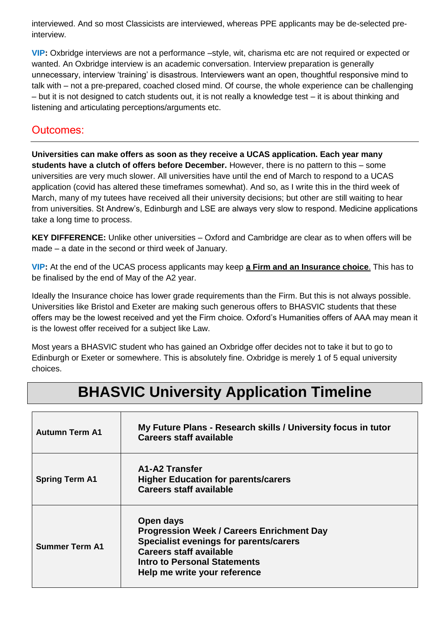interviewed. And so most Classicists are interviewed, whereas PPE applicants may be de-selected preinterview.

**VIP:** Oxbridge interviews are not a performance –style, wit, charisma etc are not required or expected or wanted. An Oxbridge interview is an academic conversation. Interview preparation is generally unnecessary, interview 'training' is disastrous. Interviewers want an open, thoughtful responsive mind to talk with – not a pre-prepared, coached closed mind. Of course, the whole experience can be challenging – but it is not designed to catch students out, it is not really a knowledge test – it is about thinking and listening and articulating perceptions/arguments etc.

### Outcomes:

**Universities can make offers as soon as they receive a UCAS application. Each year many students have a clutch of offers before December.** However, there is no pattern to this – some universities are very much slower. All universities have until the end of March to respond to a UCAS application (covid has altered these timeframes somewhat). And so, as I write this in the third week of March, many of my tutees have received all their university decisions; but other are still waiting to hear from universities. St Andrew's, Edinburgh and LSE are always very slow to respond. Medicine applications take a long time to process.

**KEY DIFFERENCE:** Unlike other universities – Oxford and Cambridge are clear as to when offers will be made – a date in the second or third week of January.

**VIP:** At the end of the UCAS process applicants may keep **a Firm and an Insurance choice**. This has to be finalised by the end of May of the A2 year.

Ideally the Insurance choice has lower grade requirements than the Firm. But this is not always possible. Universities like Bristol and Exeter are making such generous offers to BHASVIC students that these offers may be the lowest received and yet the Firm choice. Oxford's Humanities offers of AAA may mean it is the lowest offer received for a subject like Law.

Most years a BHASVIC student who has gained an Oxbridge offer decides not to take it but to go to Edinburgh or Exeter or somewhere. This is absolutely fine. Oxbridge is merely 1 of 5 equal university choices.

# **BHASVIC University Application Timeline**

| <b>Autumn Term A1</b> | My Future Plans - Research skills / University focus in tutor<br><b>Careers staff available</b>                                                                                                                         |
|-----------------------|-------------------------------------------------------------------------------------------------------------------------------------------------------------------------------------------------------------------------|
| <b>Spring Term A1</b> | A1-A2 Transfer<br><b>Higher Education for parents/carers</b><br><b>Careers staff available</b>                                                                                                                          |
| <b>Summer Term A1</b> | Open days<br><b>Progression Week / Careers Enrichment Day</b><br><b>Specialist evenings for parents/carers</b><br><b>Careers staff available</b><br><b>Intro to Personal Statements</b><br>Help me write your reference |